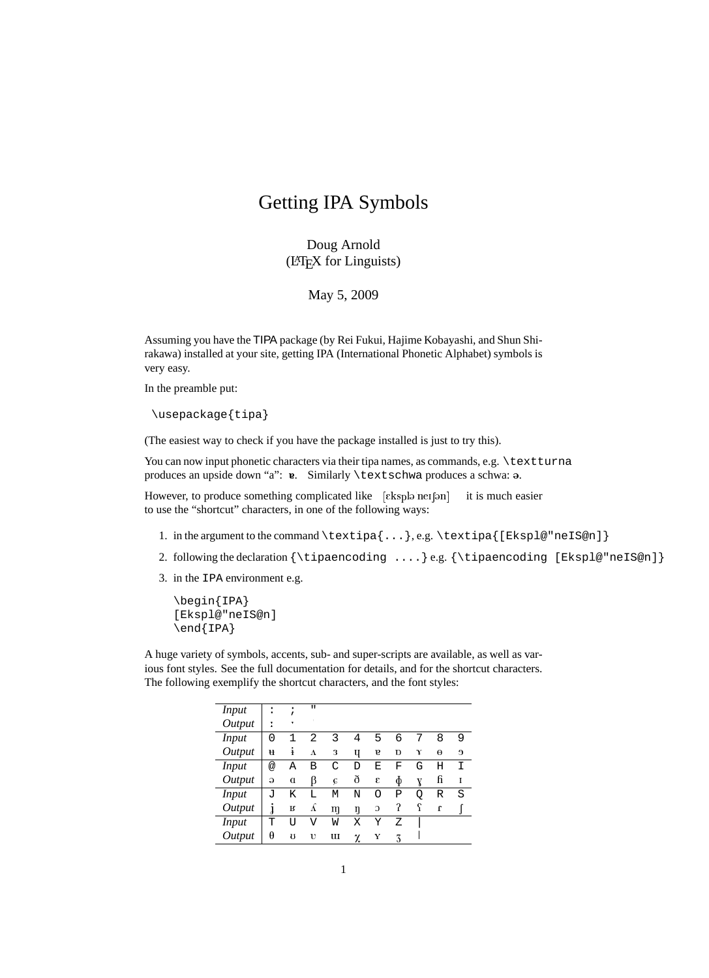## Getting IPA Symbols

Doug Arnold (LATEX for Linguists)

May 5, 2009

Assuming you have the TIPA package (by Rei Fukui, Hajime Kobayashi, and Shun Shirakawa) installed at your site, getting IPA (International Phonetic Alphabet) symbols is very easy.

In the preamble put:

\usepackage{tipa}

(The easiest way to check if you have the package installed is just to try this).

You can now input phonetic characters via their tipa names, as commands, e.g. \textturna produces an upside down "a":  $v$ . Similarly \textschwa produces a schwa: a.

However, to produce something complicated like [ɛkspləˈneɪʃən] it is much easier to use the "shortcut" characters, in one of the following ways:

- 1. in the argument to the command \textipa{...}, e.g. \textipa{[Ekspl@"neIS@n]}
- 2. following the declaration  ${\t{ipaencoding ...}\e.g. {\tipaencoding [Ekspl@"neIS@n]}$
- 3. in the IPA environment e.g.

```
\begin{IPA}
[Ekspl@"neIS@n]
\end{IPA}
```
A huge variety of symbols, accents, sub- and super-scripts are available, as well as various font styles. See the full documentation for details, and for the shortcut characters. The following exemplify the shortcut characters, and the font styles:

| <b>Input</b> |  | $\alpha$ , $\alpha$ , $\alpha$ , $\beta$ , $\beta$ , $\beta$ , $\beta$ |             |           |         |              |         |     |            |
|--------------|--|------------------------------------------------------------------------|-------------|-----------|---------|--------------|---------|-----|------------|
| Output       |  |                                                                        |             |           |         |              |         |     |            |
| <b>Input</b> |  |                                                                        |             |           |         |              |         |     | ്ധ         |
| Output       |  |                                                                        |             |           |         |              |         |     | $e \theta$ |
| <b>Input</b> |  | B                                                                      |             |           |         | F            | G       | H I |            |
| Output       |  |                                                                        |             |           |         |              |         |     |            |
| <i>Input</i> |  | K L                                                                    | $M_{\odot}$ | <b>TA</b> | $\circ$ | $\mathbf{P}$ | $\circ$ | R S |            |
| Output       |  |                                                                        |             |           |         |              |         |     |            |
| <b>Input</b> |  |                                                                        |             |           |         | Ð            |         |     |            |
| Output       |  |                                                                        | ш           |           |         |              |         |     |            |